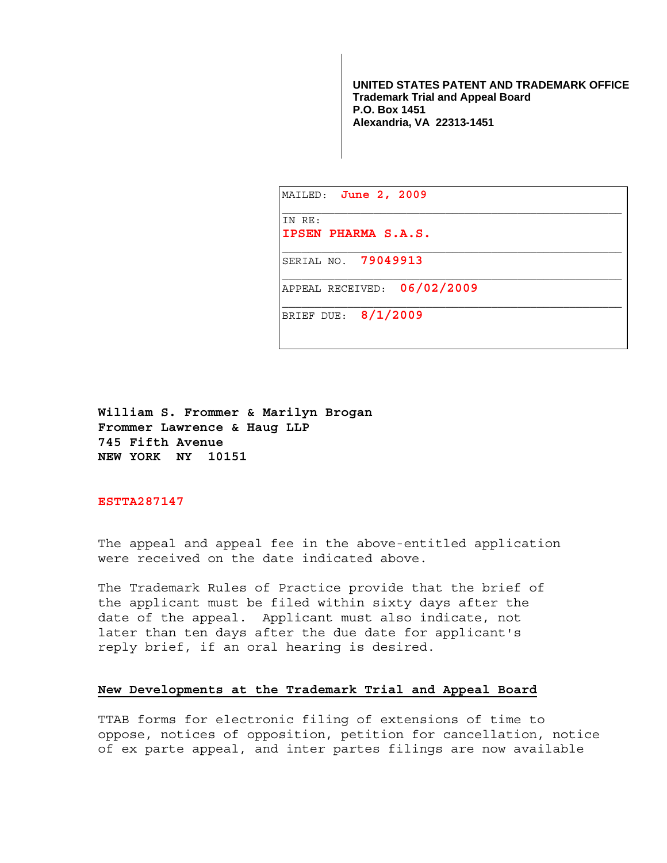**UNITED STATES PATENT AND TRADEMARK OFFICE Trademark Trial and Appeal Board P.O. Box 1451 Alexandria, VA 22313-1451**

| MAILED: <b>June 2, 2009</b>   |
|-------------------------------|
| IN RE:<br>IPSEN PHARMA S.A.S. |
| SERIAL NO. 79049913           |
| APPEAL RECEIVED: 06/02/2009   |
| BRIEF DUE: 8/1/2009           |

**William S. Frommer & Marilyn Brogan Frommer Lawrence & Haug LLP 745 Fifth Avenue NEW YORK NY 10151** 

**ESTTA287147** 

The appeal and appeal fee in the above-entitled application were received on the date indicated above.

The Trademark Rules of Practice provide that the brief of the applicant must be filed within sixty days after the date of the appeal. Applicant must also indicate, not later than ten days after the due date for applicant's reply brief, if an oral hearing is desired.

## **New Developments at the Trademark Trial and Appeal Board**

TTAB forms for electronic filing of extensions of time to oppose, notices of opposition, petition for cancellation, notice of ex parte appeal, and inter partes filings are now available